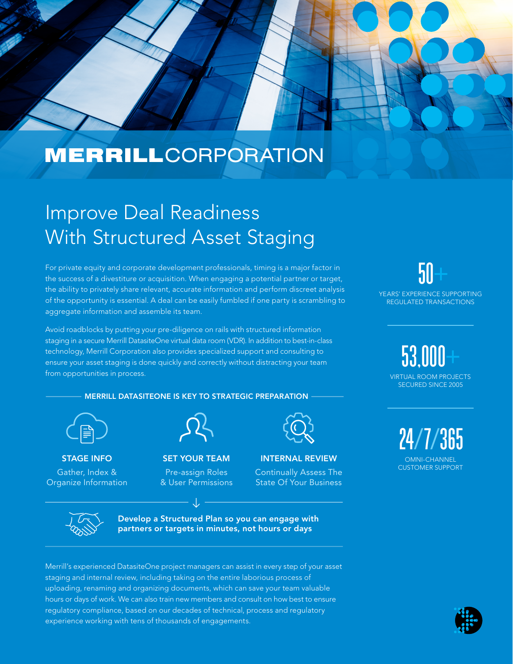

# Improve Deal Readiness With Structured Asset Staging

For private equity and corporate development professionals, timing is a major factor in the success of a divestiture or acquisition. When engaging a potential partner or target, the ability to privately share relevant, accurate information and perform discreet analysis of the opportunity is essential. A deal can be easily fumbled if one party is scrambling to aggregate information and assemble its team.

Avoid roadblocks by putting your pre-diligence on rails with structured information staging in a secure Merrill DatasiteOne virtual data room (VDR). In addition to best-in-class technology, Merrill Corporation also provides specialized support and consulting to ensure your asset staging is done quickly and correctly without distracting your team from opportunities in process.

# MERRILL DATASITEONE IS KEY TO STRATEGIC PREPARATION



# STAGE INFO Gather, Index & Organize Information



# SET YOUR TEAM

Pre-assign Roles & User Permissions

# INTERNAL REVIEW

Continually Assess The State Of Your Business



Develop a Structured Plan so you can engage with partners or targets in minutes, not hours or days

Merrill's experienced DatasiteOne project managers can assist in every step of your asset staging and internal review, including taking on the entire laborious process of uploading, renaming and organizing documents, which can save your team valuable hours or days of work. We can also train new members and consult on how best to ensure regulatory compliance, based on our decades of technical, process and regulatory experience working with tens of thousands of engagements.

 $50+$ YEARS' EXPERIENCE SUPPORTING REGULATED TRANSACTIONS

> 53,000+ VIRTUAL ROOM PROJECTS SECURED SINCE 2005

 24/7/365 OMNI-CHANNEL CUSTOMER SUPPORT